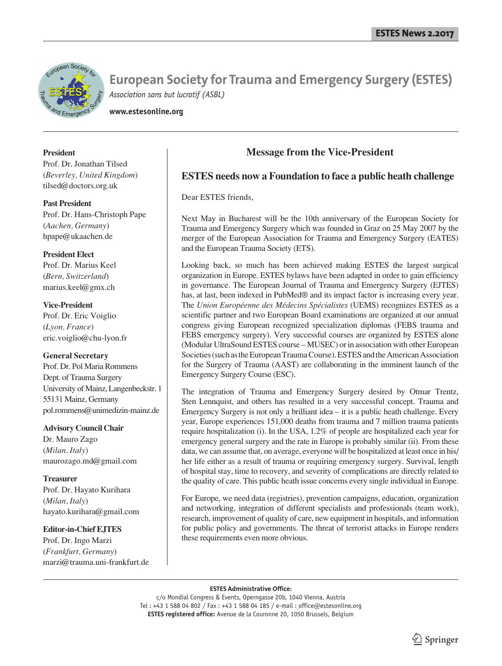

**www.estesonline.org**

### **President**

Prof. Dr. Jonathan Tilsed (*Beverley, United Kingdom*) tilsed@doctors.org.uk

**Past President** Prof. Dr. Hans-Christoph Pape (*Aachen, Germany*) hpape@ukaachen.de

### **President Elect**

Prof. Dr. Marius Keel (*Bern, Switzerland*) marius.keel@gmx.ch

**Vice-President** Prof. Dr. Eric Voiglio (*Lyon, France*) eric.voiglio@chu-lyon.fr

### **General Secretary**

Prof. Dr. Pol Maria Rommens Dept. of Trauma Surgery University of Mainz, Langenbeckstr. 1 55131 Mainz, Germany pol.rommens@unimedizin-mainz.de

### **Advisory Council Chair**

Dr. Mauro Zago (*Milan, Italy*) maurozago.md@gmail.com

# **Treasurer**

Prof. Dr. Hayato Kurihara (*Milan, Italy*) hayato.kurihara@gmail.com

# **Editor-in-Chief EJTES**

Prof. Dr. Ingo Marzi (*Frankfurt, Germany*) marzi@trauma.uni-frankfurt.de

# **Message from the Vice-President**

# **ESTES needs now a Foundation to face a public heath challenge**

Dear ESTES friends,

Next May in Bucharest will be the 10th anniversary of the European Society for Trauma and Emergency Surgery which was founded in Graz on 25 May 2007 by the merger of the European Association for Trauma and Emergency Surgery (EATES) and the European Trauma Society (ETS).

Looking back, so much has been achieved making ESTES the largest surgical organization in Europe. ESTES bylaws have been adapted in order to gain efficiency in governance. The European Journal of Trauma and Emergency Surgery (EJTES) has, at last, been indexed in PubMed® and its impact factor is increasing every year. The *Union Européenne des Médecins Spécialistes* (UEMS) recognizes ESTES as a scientific partner and two European Board examinations are organized at our annual congress giving European recognized specialization diplomas (FEBS trauma and FEBS emergency surgery). Very successful courses are organized by ESTES alone (Modular UltraSound ESTES course – MUSEC) or in association with other European Societies (such as the European Trauma Course). ESTES and the American Association for the Surgery of Trauma (AAST) are collaborating in the imminent launch of the Emergency Surgery Course (ESC).

The integration of Trauma and Emergency Surgery desired by Otmar Trentz, Sten Lennquist, and others has resulted in a very successful concept. Trauma and Emergency Surgery is not only a brilliant idea – it is a public heath challenge. Every year, Europe experiences 151,000 deaths from trauma and 7 million trauma patients require hospitalization (i). In the USA, 1.2% of people are hospitalized each year for emergency general surgery and the rate in Europe is probably similar (ii). From these data, we can assume that, on average, everyone will be hospitalized at least once in his/ her life either as a result of trauma or requiring emergency surgery. Survival, length of hospital stay, time to recovery, and severity of complications are directly related to the quality of care. This public heath issue concerns every single individual in Europe.

For Europe, we need data (registries), prevention campaigns, education, organization and networking, integration of different specialists and professionals (team work), research, improvement of quality of care, new equipment in hospitals, and information for public policy and governments. The threat of terrorist attacks in Europe renders these requirements even more obvious.

#### **ESTES Administrative Office:**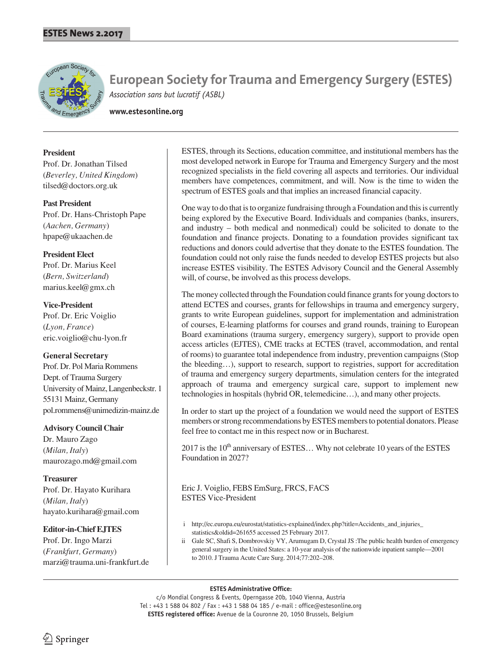

**www.estesonline.org**

### **President**

Prof. Dr. Jonathan Tilsed (*Beverley, United Kingdom*) tilsed@doctors.org.uk

### **Past President**

Prof. Dr. Hans-Christoph Pape (*Aachen, Germany*) hpape@ukaachen.de

# **President Elect**

Prof. Dr. Marius Keel (*Bern, Switzerland*) marius.keel@gmx.ch

# **Vice-President** Prof. Dr. Eric Voiglio (*Lyon, France*) eric.voiglio@chu-lyon.fr

# **General Secretary**

Prof. Dr. Pol Maria Rommens Dept. of Trauma Surgery University of Mainz, Langenbeckstr. 1 55131 Mainz, Germany pol.rommens@unimedizin-mainz.de

# **Advisory Council Chair**

Dr. Mauro Zago (*Milan, Italy*) maurozago.md@gmail.com

# **Treasurer**

Prof. Dr. Hayato Kurihara (*Milan, Italy*) hayato.kurihara@gmail.com

# **Editor-in-Chief EJTES**

Prof. Dr. Ingo Marzi (*Frankfurt, Germany*) marzi@trauma.uni-frankfurt.de ESTES, through its Sections, education committee, and institutional members has the most developed network in Europe for Trauma and Emergency Surgery and the most recognized specialists in the field covering all aspects and territories. Our individual members have competences, commitment, and will. Now is the time to widen the spectrum of ESTES goals and that implies an increased financial capacity.

One way to do that is to organize fundraising through a Foundation and this is currently being explored by the Executive Board. Individuals and companies (banks, insurers, and industry – both medical and nonmedical) could be solicited to donate to the foundation and finance projects. Donating to a foundation provides significant tax reductions and donors could advertise that they donate to the ESTES foundation. The foundation could not only raise the funds needed to develop ESTES projects but also increase ESTES visibility. The ESTES Advisory Council and the General Assembly will, of course, be involved as this process develops.

The money collected through the Foundation could finance grants for young doctors to attend ECTES and courses, grants for fellowships in trauma and emergency surgery, grants to write European guidelines, support for implementation and administration of courses, E-learning platforms for courses and grand rounds, training to European Board examinations (trauma surgery, emergency surgery), support to provide open access articles (EJTES), CME tracks at ECTES (travel, accommodation, and rental of rooms) to guarantee total independence from industry, prevention campaigns (Stop the bleeding…), support to research, support to registries, support for accreditation of trauma and emergency surgery departments, simulation centers for the integrated approach of trauma and emergency surgical care, support to implement new technologies in hospitals (hybrid OR, telemedicine…), and many other projects.

In order to start up the project of a foundation we would need the support of ESTES members or strong recommendations by ESTES members to potential donators. Please feel free to contact me in this respect now or in Bucharest.

 $2017$  is the  $10<sup>th</sup>$  anniversary of ESTES... Why not celebrate 10 years of the ESTES Foundation in 2027?

Eric J. Voiglio, FEBS EmSurg, FRCS, FACS ESTES Vice-President

- i http://ec.europa.eu/eurostat/statistics-explained/index.php?title=Accidents\_and\_injuries\_ statistics&oldid=261655 accessed 25 February 2017.
- ii Gale SC, Shafi S, Dombrovskiy VY, Arumugam D, Crystal JS :The public health burden of emergency general surgery in the United States: a 10-year analysis of the nationwide inpatient sample—2001 to 2010. J Trauma Acute Care Surg. 2014;77:202–208.

### **ESTES Administrative Office:**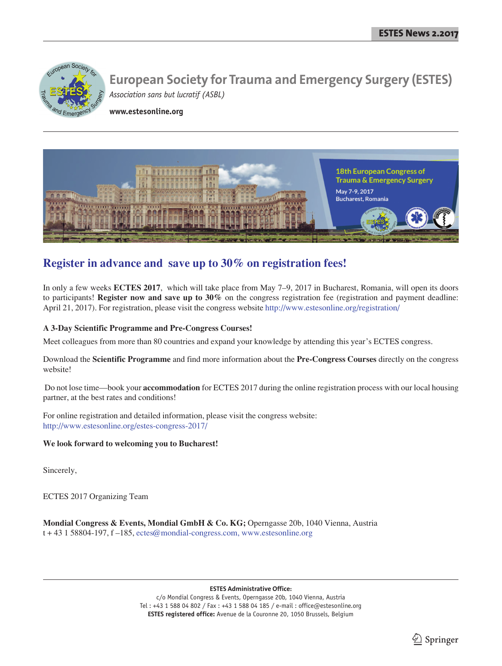

**www.estesonline.org**



# **Register in advance and save up to 30% on registration fees!**

In only a few weeks **ECTES 2017**, which will take place from May 7–9, 2017 in Bucharest, Romania, will open its doors to participants! **Register now and save up to 30%** on the congress registration fee (registration and payment deadline: April 21, 2017). For registration, please visit the congress website http://www.estesonline.org/registration/

# **A 3-Day Scientific Programme and Pre-Congress Courses!**

Meet colleagues from more than 80 countries and expand your knowledge by attending this year's ECTES congress.

Download the **Scientific Programme** and find more information about the **Pre-Congress Courses** directly on the congress website!

 Do not lose time—book your **accommodation** for ECTES 2017 during the online registration process with our local housing partner, at the best rates and conditions!

For online registration and detailed information, please visit the congress website: http://www.estesonline.org/estes-congress-2017/

# **We look forward to welcoming you to Bucharest!**

Sincerely,

ECTES 2017 Organizing Team

**Mondial Congress & Events, Mondial GmbH & Co. KG;** Operngasse 20b, 1040 Vienna, Austria t + 43 1 58804-197, f –185, ectes@mondial-congress.com, www.estesonline.org

**ESTES Administrative Office:**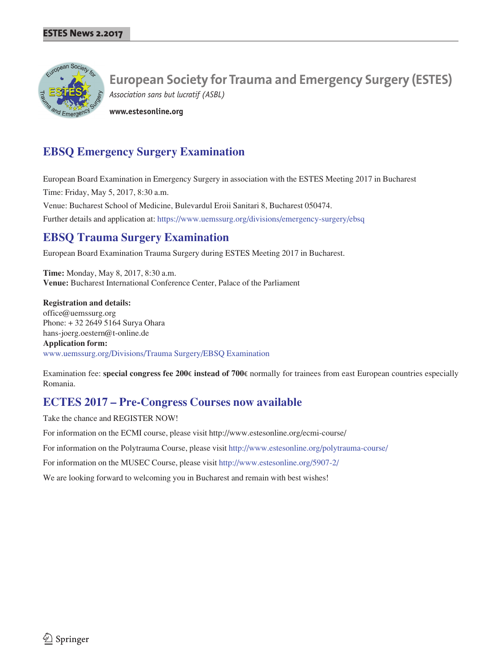

**www.estesonline.org**

# **EBSQ Emergency Surgery Examination**

European Board Examination in Emergency Surgery in association with the ESTES Meeting 2017 in Bucharest Time: Friday, May 5, 2017, 8:30 a.m.

Venue: Bucharest School of Medicine, Bulevardul Eroii Sanitari 8, Bucharest 050474.

Further details and application at: https://www.uemssurg.org/divisions/emergency-surgery/ebsq

# **EBSQ Trauma Surgery Examination**

European Board Examination Trauma Surgery during ESTES Meeting 2017 in Bucharest.

**Time:** Monday, May 8, 2017, 8:30 a.m. **Venue:** Bucharest International Conference Center, Palace of the Parliament

**Registration and details:** office@uemssurg.org Phone: + 32 2649 5164 Surya Ohara hans-joerg.oestern@t-online.de **Application form:** www.uemssurg.org/Divisions/Trauma Surgery/EBSQ Examination

Examination fee: **special congress fee 200**€ **instead of 700**€ normally for trainees from east European countries especially Romania.

# **ECTES 2017 – Pre-Congress Courses now available**

Take the chance and REGISTER NOW!

For information on the ECMI course, please visit http://www.estesonline.org/ecmi-course/

For information on the Polytrauma Course, please visit http://www.estesonline.org/polytrauma-course/

For information on the MUSEC Course, please visit http://www.estesonline.org/5907-2/

We are looking forward to welcoming you in Bucharest and remain with best wishes!